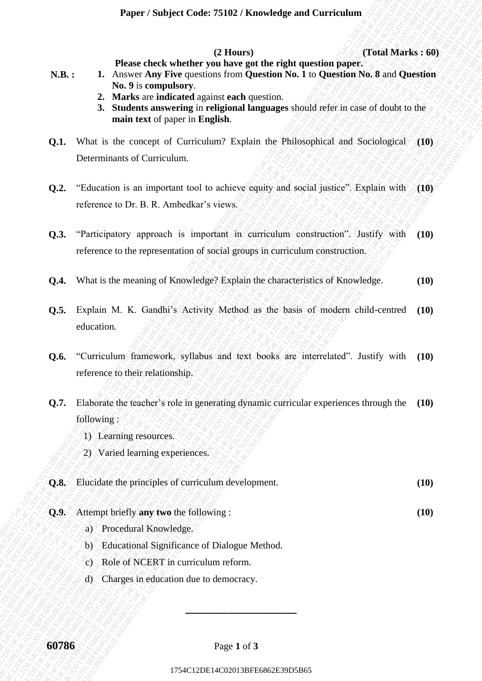**(2 Hours) (Total Marks : 60)**

- **Please check whether you have got the right question paper. N.B. : 1.** Answer **Any Five** questions from **Question No. 1** to **Question No. 8** and **Question No. 9** is **compulsory**.
	- **2. Marks** are **indicated** against **each** question.
	- **3. Students answering** in **religional languages** should refer in case of doubt to the **main text** of paper in **English**.
- **Q.1.** What is the concept of Curriculum? Explain the Philosophical and Sociological **(10)** Determinants of Curriculum.
- **Q.2.** "Education is an important tool to achieve equity and social justice". Explain with reference to Dr. B. R. Ambedkar's views. **(10)**
- **Q.3.** "Participatory approach is important in curriculum construction". Justify with reference to the representation of social groups in curriculum construction. **(10)**
- **Q.4.** What is the meaning of Knowledge? Explain the characteristics of Knowledge. **(10)**
- **Q.5.** Explain M. K. Gandhi's Activity Method as the basis of modern child-centred education. **(10)**
- **Q.6.** "Curriculum framework, syllabus and text books are interrelated". Justify with reference to their relationship. **(10)**
- **1764C**<br>
17. The street of the compute of the compute of the compute of the compute of the compute of the compute of the compute of the compute of the compute of the compute of the compute of the compute of the compute of **1764C**<br>
12 DENE (120 Mars 1764C) and the right question part of the right question No. 8 and Question<br>
2. Note contribute the right of persisten its following the right of the right of the right of the right of the right **17** France check whether (21 Hurrey) the relation paper. Trival Marks: 460<br>
16. Note are not been able to the generator of the particular and papelion<br>
26. Moreover including the particular papelion.<br>
26. Moreover in the 1764C12 (2 Theory is the control of the control of the control of the section of the section of the control of the control of the control of the section of the section of the section of the section of the section of the s 19942 Congress Construction Constrainers (Total Marks : 66)<br>
176. 1. Almons Ain Presidentia East Olivers Constant Constant East Olivers Constant Constant Constant East of the monotonic Constant Constant Constant Constant 1744C142013 Experiment State of Contents (Total Marks 5.60)<br>
1764 Marks 5.60<br>
1868 17. A nonor Any Five conclusion from Operation No. 1 to Question State of Development<br>
2. Marks as a Marks conclusion from Operation No. 1 **Paper / Subject Code: 75402/ Channel of a Carried memorial Control Marks : 66)**<br>
17. The mass channel and the memorial control Duestion No. 1 to Obsert the National Control Marks : 66)<br>
2. Notable the other properties th **Theory Shaliyet Crude: 25102/Knowledge and Curriculator (OBM) ABFE 1.** Announce by the anti-property in later of the registration (COMI) Northern Manuscript (Community CRIM) Northern information (Community CRIM) Northern **From:** Fastigaet Code: 75410212 Knowledge and Construction 1754 Construes (COM Marks : 60)<br>
N.B.: **I** Roos denoted the prime sure for the right question with the Construction of the sure inferred to the summarized constr **From:** Fastigaet Code: 75410212 Knowledge and Construction 1754 Construes (COM Marks : 60)<br>
N.B.: **I** Roos denoted the prime sure for the right question with the Construction of the sure inferred to the summarized constr **1794C1202013 Photographs Code: 75102/Koowbelge and Curriculum (Cold Marks: 169)**<br>
1864: **1746 Conserverse conserverse the conserverse conserverse conserverse conserverse conserverse conserverse conserverse conservers 1794C12 Cooley Cooley 751023 Character of Arthur CF (Thurs)**<br>
1764. **17** These character with the gains of the spin the spin term of the spin term of the spin term of the spin term of the spin term of the spin term of th **1794cr (Subject Code 75102 / Kanvelodge and Corriculum** (**Clearly the Subsection 1794C**).<br> **18.** The structure tensor in the spin University of the structure of the structure of the structure of the structure of the stru **1794cf** (Studyet Code 73102 / Kanwhelge and Curriculum (2154C) (Thin 1764 Code Code Case Code Case Code Case Code Case Code Case Code Case Code Case Code Case Code Case Code Case Code Case Code Case Code Case Code Case C 1246FF 754bFect Collec 75102 / Kanwledge and Carriculum<br>
1763. 1. Chrosse Any Frie pacelion from Quangeline of right applications (No. 8 and Question 3<br>
2. Market a movember is gradient and agreed in the right of the righ 1754C12 Studies Collect 25102 / Knowledge und Corriculum<br>
1763. 1. Please check whether you have youther right question part.<br>
1763. 1864 consider a propries team (particular, the right question No. 8 med. Question<br>
2. St **12. Proper (Stringter Conte 75402) Known (2. Bourger)** (Total Markes 699)<br>
17. **H.** Amove Any Every questions here get the right neutron No. 3 o Questions No. 3<br>
18. Any of a computation start and contain the set of th **Proper / Stubject Code 75400 / Khomkedge and Curriculum** (Total Marks s of China Code Control with the memorial control that with the memorial control of the second distance and the second of the second distance and the **Proper Subject Code: 75102 / Kaovikdgs and Curriculum** (1764 Marsks 1764 / Associate the relationship is the right question Post 366 816 **Concerting and Concerting and Concerting and Concerting and Concerting and Concert** 1754C12DE14C02013BFE6862E39D5B651754C12DE14C02013BFE6862E39D5B651754C12DE14C02013BFE6862E39D5B651754C12DE14C02013BFE6862E39D5B651754C12DE14C02013BFE6862E39D5B651754C12DE14C02013BFE6862E39D5B65 **Q.7.** Elaborate the teacher's role in generating dynamic curricular experiences through the following : **(10)**
	- 1) Learning resources. )
	- 2) Varied learning experiences.

| Q.8. Elucidate the principles of curriculum development. |  |
|----------------------------------------------------------|--|
|                                                          |  |

- **Q.9.** Attempt briefly **any two** the following : **(10)**
	- a) Procedural Knowledge.
	- b) Educational Significance of Dialogue Method.
	- c) Role of NCERT in curriculum reform.
	- d) Charges in education due to democracy.

**\_\_\_\_\_\_\_\_\_\_\_\_\_\_\_\_\_\_\_\_\_\_\_**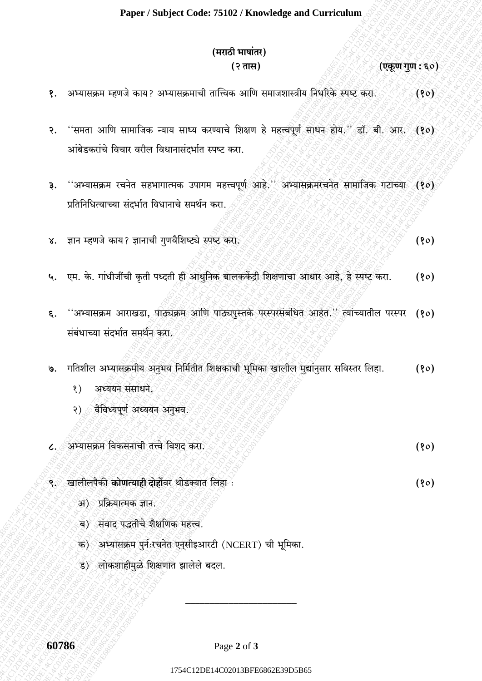## (मराठी भाषांतर) (२ तास)

(एकूण गुण : ६०)

 $(80)$ 

- अभ्यासक्रम म्हणजे काय? अभ्यासक्रमाची तात्त्विक आणि समाजशास्त्रीय निर्धारेके स्पष्ट करा.  $(80)$ १.
- ''समता आणि सामाजिक न्याय साध्य करण्याचे शिक्षण हे महत्त्वपूर्ण साधन होय.'' डॉ. बी. आर. (१०)  $\ddot{\mathcal{S}}$ . आंबेडकरांचे विचार वरील विधानासंदर्भात स्पष्ट करा.
- ''अभ्यासक्रम रचनेत सहभागात्मक उपागम महत्त्वपूर्ण आहे.'' अभ्यासक्रमरचनेत सामाजिक गटाच्या (१०) ३. प्रतिनिधित्वाच्या संदर्भात विधानाचे समर्थन करा.
- ज्ञान म्हणजे काय? ज्ञानाची गुणवैशिष्ट्ये स्पष्ट करा.  $(80)$  $X_{\cdot}$
- ५. एम. के. गांधीजींची कृती पध्दती ही आधुनिक बालककेंद्री शिक्षणाचा आधार आहे, हे स्पष्ट करा.  $(80)$
- "अभ्यासक्रम आराखडा, पाठ्यक्रम आणि पाठ्यपुस्तके परस्परसंबंधित आहेत." त्यांच्यातील परस्पर (१०) ६. संबंधाच्या संदर्भात समर्थन करा.
- गतिशील अभ्यासक्रमीय अनुभव निर्मितीत शिक्षकाची भूमिका खालील मुद्यांनुसार सविस्तर लिहा.  $(90)$  $\mathsf{G}.$ 
	- $\langle \rangle$ अध्ययन संसाधने.
	- वैविध्यपूर्ण अध्ययन अनुभव. २) (२
- अभ्यासक्रम विकसनाची तत्त्वे विशद करा.  $(80)$  $\mathcal{L}.$
- ९. खालीलपैकी **कोणत्याही दोहों**वर थोडक्यात लिहा :
	- अ) प्रक्रियात्मक ज्ञान.
	- ब) संवाद पद्धतीचे शैक्षणिक महत्त्व.
	- क) अभ्यासक्रम पुर्नःरचनेत एनसीइआरटी (NCERT) ची भूमिका.
	- ड) लोकशाहीमुळे शिक्षणात झालेले बदल.

60786

Page 2 of 3

1754C12DE14C02013BFE6862E39D5B65